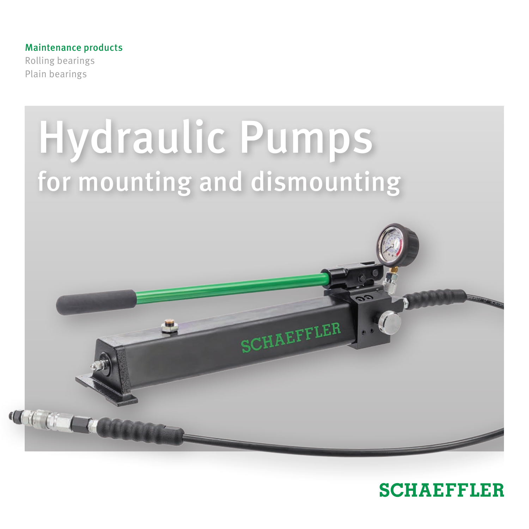## Maintenance products

Rolling bearings Plain bearings



# **SCHAEFFLER**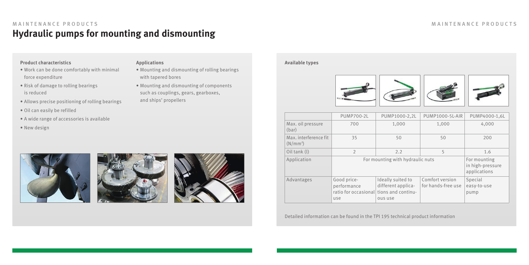## **Hydraulic pumps for mounting and dismounting** MAINTENANCE PRODUCTS MAINTENANCE PRODUCTS

## **Product characteristics**

- Work can be done comfortably with minimal force expenditure
- Risk of damage to rolling bearings is reduced
- Allows precise positioning of rolling bearings
- Oil can easily be refilled
- A wide range of accessories is available
- New design







• Mounting and dismounting of rolling bearings

• Mounting and dismounting of components such as couplings, gears, gearboxes,

with tapered bores

and ships' propellers

## **Applications Available types**



|                                     | <b>PUMP700-2L</b>                                                            | PUMP1000-2,2L                                      | <b>PUMP1000-5L-AIR</b>                | PUMP4000-1.6L                                    |
|-------------------------------------|------------------------------------------------------------------------------|----------------------------------------------------|---------------------------------------|--------------------------------------------------|
| Max. oil pressure<br>(bar)          | 700                                                                          | 1,000                                              | 1,000                                 | 4.000                                            |
| Max. interference fit<br>$(N/mm^2)$ | 35                                                                           | 50                                                 | 50                                    | 200                                              |
| Oil tank (l)                        | $\mathfrak{D}$                                                               | 2.2                                                | 5                                     | 1.6                                              |
| Application                         | For mounting with hydraulic nuts                                             |                                                    |                                       | For mounting<br>in high-pressure<br>applications |
| Advantages                          | Good price-<br>performance<br>ratio for occasional tions and continu-<br>use | Ideally suited to<br>different applica-<br>ous use | Comfort version<br>for hands-free use | Special<br>easy-to-use<br>pump                   |

Detailed information can be found in the TPI 195 technical product information